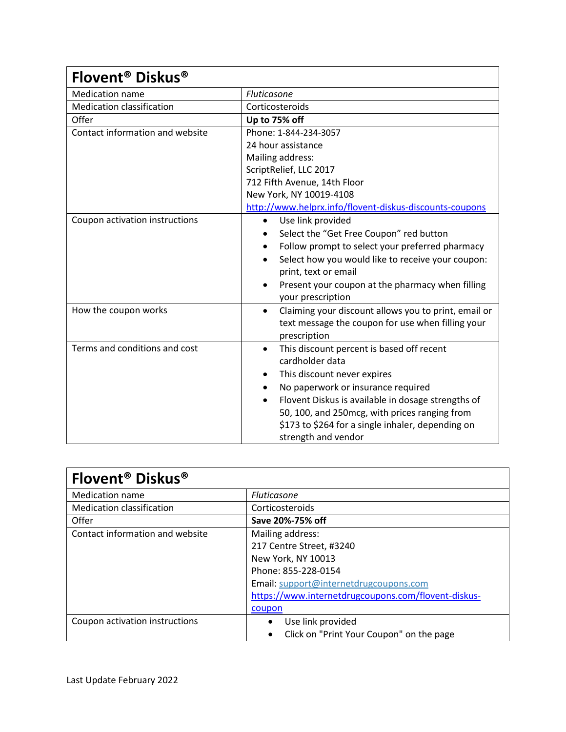| Flovent <sup>®</sup> Diskus <sup>®</sup> |                                                                   |
|------------------------------------------|-------------------------------------------------------------------|
| <b>Medication name</b>                   | Fluticasone                                                       |
| <b>Medication classification</b>         | Corticosteroids                                                   |
| Offer                                    | Up to 75% off                                                     |
| Contact information and website          | Phone: 1-844-234-3057                                             |
|                                          | 24 hour assistance                                                |
|                                          | Mailing address:                                                  |
|                                          | ScriptRelief, LLC 2017                                            |
|                                          | 712 Fifth Avenue, 14th Floor                                      |
|                                          | New York, NY 10019-4108                                           |
|                                          | http://www.helprx.info/flovent-diskus-discounts-coupons           |
| Coupon activation instructions           | Use link provided<br>$\bullet$                                    |
|                                          | Select the "Get Free Coupon" red button                           |
|                                          | Follow prompt to select your preferred pharmacy<br>$\bullet$      |
|                                          | Select how you would like to receive your coupon:<br>$\bullet$    |
|                                          | print, text or email                                              |
|                                          | Present your coupon at the pharmacy when filling<br>$\bullet$     |
|                                          | your prescription                                                 |
| How the coupon works                     | Claiming your discount allows you to print, email or<br>$\bullet$ |
|                                          | text message the coupon for use when filling your                 |
|                                          | prescription                                                      |
| Terms and conditions and cost            | This discount percent is based off recent<br>٠                    |
|                                          | cardholder data                                                   |
|                                          | This discount never expires                                       |
|                                          | No paperwork or insurance required                                |
|                                          | Flovent Diskus is available in dosage strengths of                |
|                                          | 50, 100, and 250mcg, with prices ranging from                     |
|                                          | \$173 to \$264 for a single inhaler, depending on                 |
|                                          | strength and vendor                                               |

| <b>Flovent<sup>®</sup> Diskus<sup>®</sup></b> |                                                       |
|-----------------------------------------------|-------------------------------------------------------|
| <b>Medication name</b>                        | <b>Fluticasone</b>                                    |
| <b>Medication classification</b>              | Corticosteroids                                       |
| Offer                                         | Save 20%-75% off                                      |
| Contact information and website               | Mailing address:                                      |
|                                               | 217 Centre Street, #3240                              |
|                                               | New York, NY 10013                                    |
|                                               | Phone: 855-228-0154                                   |
|                                               | Email: support@internetdrugcoupons.com                |
|                                               | https://www.internetdrugcoupons.com/flovent-diskus-   |
|                                               | coupon                                                |
| Coupon activation instructions                | Use link provided                                     |
|                                               | Click on "Print Your Coupon" on the page<br>$\bullet$ |